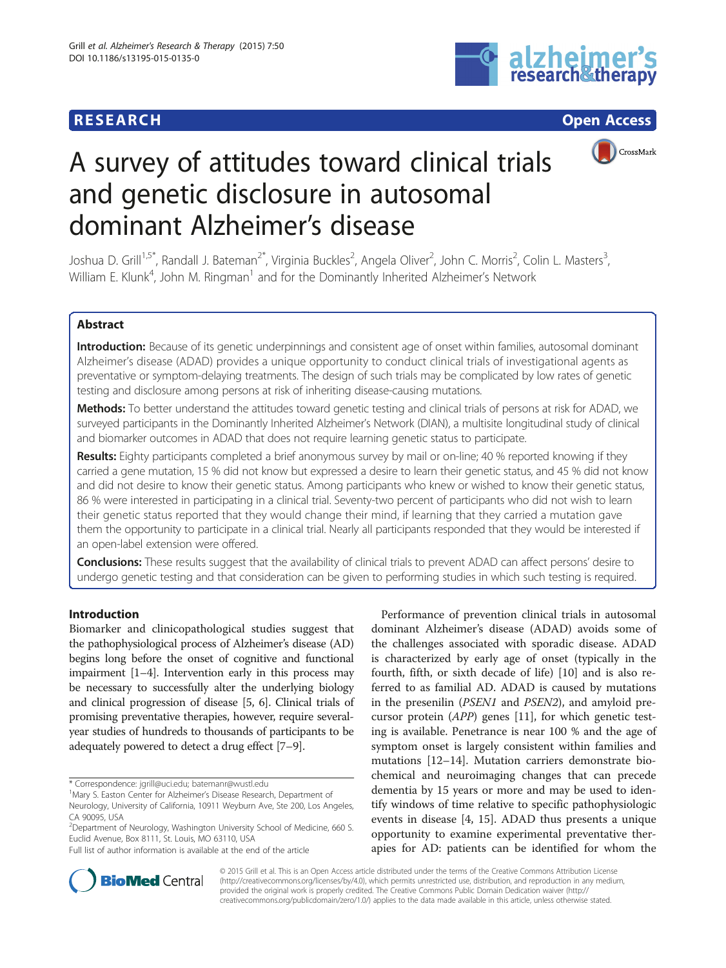# **RESEARCH CHE Open Access**





# A survey of attitudes toward clinical trials and genetic disclosure in autosomal dominant Alzheimer's disease

Joshua D. Grill<sup>1,5\*</sup>, Randall J. Bateman<sup>2\*</sup>, Virginia Buckles<sup>2</sup>, Angela Oliver<sup>2</sup>, John C. Morris<sup>2</sup>, Colin L. Masters<sup>3</sup> , William E. Klunk<sup>4</sup>, John M. Ringman<sup>1</sup> and for the Dominantly Inherited Alzheimer's Network

# Abstract

Introduction: Because of its genetic underpinnings and consistent age of onset within families, autosomal dominant Alzheimer's disease (ADAD) provides a unique opportunity to conduct clinical trials of investigational agents as preventative or symptom-delaying treatments. The design of such trials may be complicated by low rates of genetic testing and disclosure among persons at risk of inheriting disease-causing mutations.

Methods: To better understand the attitudes toward genetic testing and clinical trials of persons at risk for ADAD, we surveyed participants in the Dominantly Inherited Alzheimer's Network (DIAN), a multisite longitudinal study of clinical and biomarker outcomes in ADAD that does not require learning genetic status to participate.

Results: Eighty participants completed a brief anonymous survey by mail or on-line; 40 % reported knowing if they carried a gene mutation, 15 % did not know but expressed a desire to learn their genetic status, and 45 % did not know and did not desire to know their genetic status. Among participants who knew or wished to know their genetic status, 86 % were interested in participating in a clinical trial. Seventy-two percent of participants who did not wish to learn their genetic status reported that they would change their mind, if learning that they carried a mutation gave them the opportunity to participate in a clinical trial. Nearly all participants responded that they would be interested if an open-label extension were offered.

Conclusions: These results suggest that the availability of clinical trials to prevent ADAD can affect persons' desire to undergo genetic testing and that consideration can be given to performing studies in which such testing is required.

# Introduction

Biomarker and clinicopathological studies suggest that the pathophysiological process of Alzheimer's disease (AD) begins long before the onset of cognitive and functional impairment [\[1](#page-7-0)–[4](#page-7-0)]. Intervention early in this process may be necessary to successfully alter the underlying biology and clinical progression of disease [\[5, 6](#page-7-0)]. Clinical trials of promising preventative therapies, however, require severalyear studies of hundreds to thousands of participants to be adequately powered to detect a drug effect [[7](#page-7-0)–[9](#page-7-0)].

Full list of author information is available at the end of the article

Performance of prevention clinical trials in autosomal dominant Alzheimer's disease (ADAD) avoids some of the challenges associated with sporadic disease. ADAD is characterized by early age of onset (typically in the fourth, fifth, or sixth decade of life) [\[10](#page-7-0)] and is also referred to as familial AD. ADAD is caused by mutations in the presenilin (PSEN1 and PSEN2), and amyloid precursor protein (APP) genes [\[11](#page-7-0)], for which genetic testing is available. Penetrance is near 100 % and the age of symptom onset is largely consistent within families and mutations [[12](#page-7-0)–[14](#page-7-0)]. Mutation carriers demonstrate biochemical and neuroimaging changes that can precede dementia by 15 years or more and may be used to identify windows of time relative to specific pathophysiologic events in disease [[4, 15](#page-7-0)]. ADAD thus presents a unique opportunity to examine experimental preventative therapies for AD: patients can be identified for whom the



© 2015 Grill et al. This is an Open Access article distributed under the terms of the Creative Commons Attribution License [\(http://creativecommons.org/licenses/by/4.0\)](http://creativecommons.org/licenses/by/4.0), which permits unrestricted use, distribution, and reproduction in any medium, provided the original work is properly credited. The Creative Commons Public Domain Dedication waiver [\(http://](http://creativecommons.org/publicdomain/zero/1.0/) [creativecommons.org/publicdomain/zero/1.0/\)](http://creativecommons.org/publicdomain/zero/1.0/) applies to the data made available in this article, unless otherwise stated.

<sup>\*</sup> Correspondence: [jgrill@uci.edu;](mailto:jgrill@uci.edu) [batemanr@wustl.edu](mailto:batemanr@wustl.edu) <sup>1</sup>

<sup>&</sup>lt;sup>1</sup> Mary S. Easton Center for Alzheimer's Disease Research, Department of

Neurology, University of California, 10911 Weyburn Ave, Ste 200, Los Angeles, CA 90095, USA

<sup>&</sup>lt;sup>2</sup>Department of Neurology, Washington University School of Medicine, 660 S. Euclid Avenue, Box 8111, St. Louis, MO 63110, USA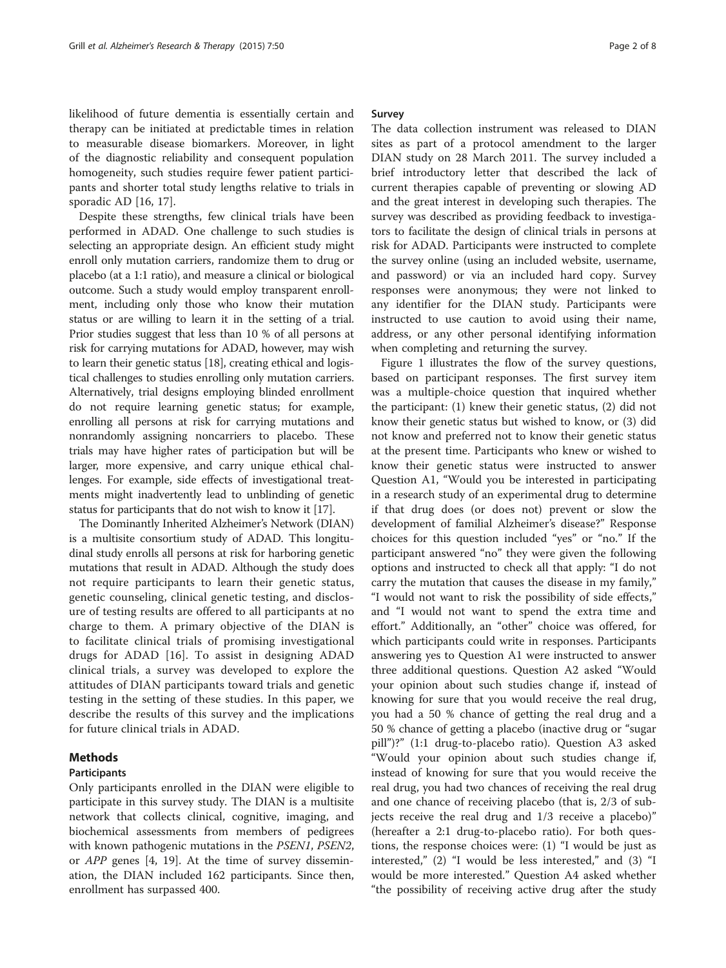likelihood of future dementia is essentially certain and therapy can be initiated at predictable times in relation to measurable disease biomarkers. Moreover, in light of the diagnostic reliability and consequent population homogeneity, such studies require fewer patient participants and shorter total study lengths relative to trials in sporadic AD [\[16](#page-7-0), [17\]](#page-7-0).

Despite these strengths, few clinical trials have been performed in ADAD. One challenge to such studies is selecting an appropriate design. An efficient study might enroll only mutation carriers, randomize them to drug or placebo (at a 1:1 ratio), and measure a clinical or biological outcome. Such a study would employ transparent enrollment, including only those who know their mutation status or are willing to learn it in the setting of a trial. Prior studies suggest that less than 10 % of all persons at risk for carrying mutations for ADAD, however, may wish to learn their genetic status [[18](#page-7-0)], creating ethical and logistical challenges to studies enrolling only mutation carriers. Alternatively, trial designs employing blinded enrollment do not require learning genetic status; for example, enrolling all persons at risk for carrying mutations and nonrandomly assigning noncarriers to placebo. These trials may have higher rates of participation but will be larger, more expensive, and carry unique ethical challenges. For example, side effects of investigational treatments might inadvertently lead to unblinding of genetic status for participants that do not wish to know it [\[17\]](#page-7-0).

The Dominantly Inherited Alzheimer's Network (DIAN) is a multisite consortium study of ADAD. This longitudinal study enrolls all persons at risk for harboring genetic mutations that result in ADAD. Although the study does not require participants to learn their genetic status, genetic counseling, clinical genetic testing, and disclosure of testing results are offered to all participants at no charge to them. A primary objective of the DIAN is to facilitate clinical trials of promising investigational drugs for ADAD [[16](#page-7-0)]. To assist in designing ADAD clinical trials, a survey was developed to explore the attitudes of DIAN participants toward trials and genetic testing in the setting of these studies. In this paper, we describe the results of this survey and the implications for future clinical trials in ADAD.

# Methods

# Participants

Only participants enrolled in the DIAN were eligible to participate in this survey study. The DIAN is a multisite network that collects clinical, cognitive, imaging, and biochemical assessments from members of pedigrees with known pathogenic mutations in the *PSEN1*, *PSEN2*, or APP genes [\[4](#page-7-0), [19](#page-7-0)]. At the time of survey dissemination, the DIAN included 162 participants. Since then, enrollment has surpassed 400.

## Survey

The data collection instrument was released to DIAN sites as part of a protocol amendment to the larger DIAN study on 28 March 2011. The survey included a brief introductory letter that described the lack of current therapies capable of preventing or slowing AD and the great interest in developing such therapies. The survey was described as providing feedback to investigators to facilitate the design of clinical trials in persons at risk for ADAD. Participants were instructed to complete the survey online (using an included website, username, and password) or via an included hard copy. Survey responses were anonymous; they were not linked to any identifier for the DIAN study. Participants were instructed to use caution to avoid using their name, address, or any other personal identifying information when completing and returning the survey.

Figure [1](#page-2-0) illustrates the flow of the survey questions, based on participant responses. The first survey item was a multiple-choice question that inquired whether the participant: (1) knew their genetic status, (2) did not know their genetic status but wished to know, or (3) did not know and preferred not to know their genetic status at the present time. Participants who knew or wished to know their genetic status were instructed to answer Question A1, "Would you be interested in participating in a research study of an experimental drug to determine if that drug does (or does not) prevent or slow the development of familial Alzheimer's disease?" Response choices for this question included "yes" or "no." If the participant answered "no" they were given the following options and instructed to check all that apply: "I do not carry the mutation that causes the disease in my family," "I would not want to risk the possibility of side effects," and "I would not want to spend the extra time and effort." Additionally, an "other" choice was offered, for which participants could write in responses. Participants answering yes to Question A1 were instructed to answer three additional questions. Question A2 asked "Would your opinion about such studies change if, instead of knowing for sure that you would receive the real drug, you had a 50 % chance of getting the real drug and a 50 % chance of getting a placebo (inactive drug or "sugar pill")?" (1:1 drug-to-placebo ratio). Question A3 asked "Would your opinion about such studies change if, instead of knowing for sure that you would receive the real drug, you had two chances of receiving the real drug and one chance of receiving placebo (that is, 2/3 of subjects receive the real drug and 1/3 receive a placebo)" (hereafter a 2:1 drug-to-placebo ratio). For both questions, the response choices were: (1) "I would be just as interested," (2) "I would be less interested," and (3) "I would be more interested." Question A4 asked whether "the possibility of receiving active drug after the study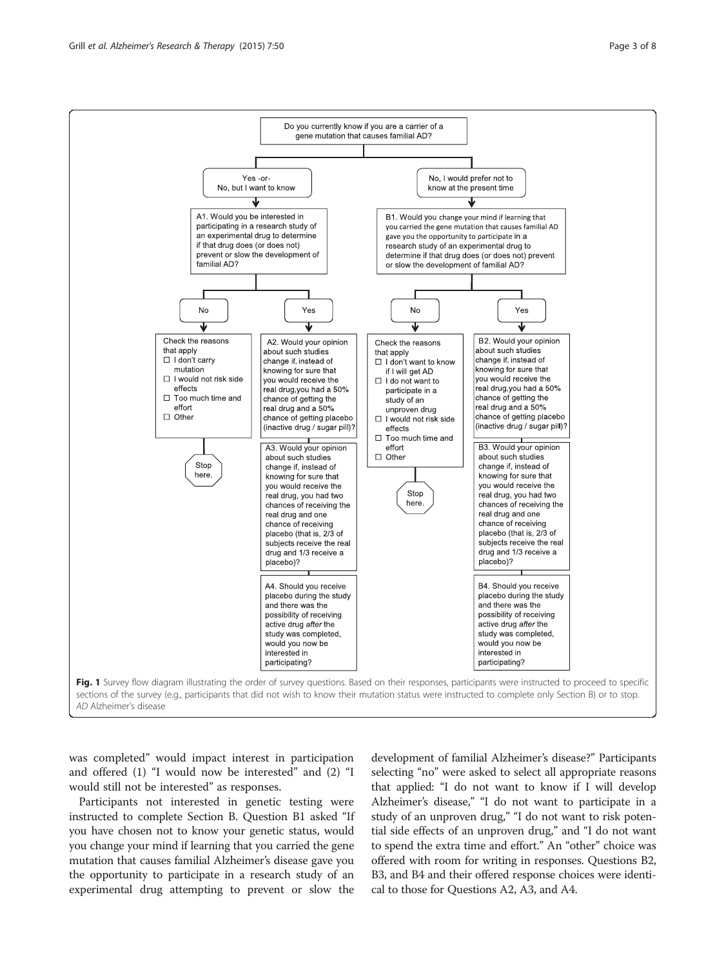<span id="page-2-0"></span>

AD Alzheimer's disease

was completed" would impact interest in participation and offered (1) "I would now be interested" and (2) "I would still not be interested" as responses.

Participants not interested in genetic testing were instructed to complete Section B. Question B1 asked "If you have chosen not to know your genetic status, would you change your mind if learning that you carried the gene mutation that causes familial Alzheimer's disease gave you the opportunity to participate in a research study of an experimental drug attempting to prevent or slow the

development of familial Alzheimer's disease?" Participants selecting "no" were asked to select all appropriate reasons that applied: "I do not want to know if I will develop Alzheimer's disease," "I do not want to participate in a study of an unproven drug," "I do not want to risk potential side effects of an unproven drug," and "I do not want to spend the extra time and effort." An "other" choice was offered with room for writing in responses. Questions B2, B3, and B4 and their offered response choices were identical to those for Questions A2, A3, and A4.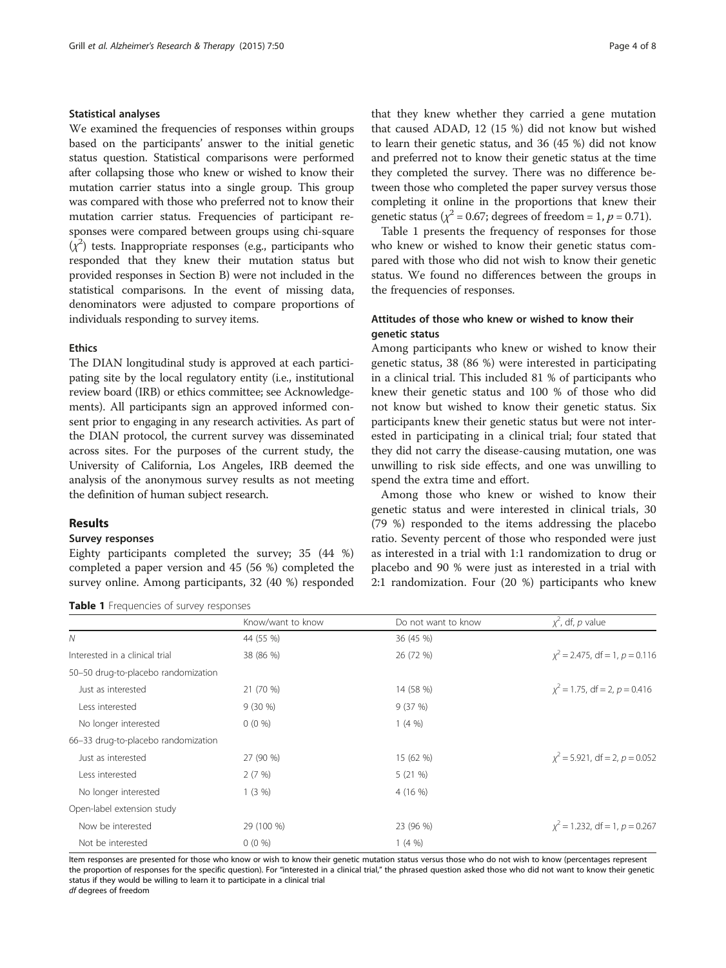## Statistical analyses

We examined the frequencies of responses within groups based on the participants' answer to the initial genetic status question. Statistical comparisons were performed after collapsing those who knew or wished to know their mutation carrier status into a single group. This group was compared with those who preferred not to know their mutation carrier status. Frequencies of participant responses were compared between groups using chi-square  $(\chi^2)$  tests. Inappropriate responses (e.g., participants who responded that they knew their mutation status but provided responses in Section B) were not included in the statistical comparisons. In the event of missing data, denominators were adjusted to compare proportions of individuals responding to survey items.

# Ethics

The DIAN longitudinal study is approved at each participating site by the local regulatory entity (i.e., institutional review board (IRB) or ethics committee; see Acknowledgements). All participants sign an approved informed consent prior to engaging in any research activities. As part of the DIAN protocol, the current survey was disseminated across sites. For the purposes of the current study, the University of California, Los Angeles, IRB deemed the analysis of the anonymous survey results as not meeting the definition of human subject research.

# Results

## Survey responses

Eighty participants completed the survey; 35 (44 %) completed a paper version and 45 (56 %) completed the survey online. Among participants, 32 (40 %) responded

## Table 1 Frequencies of survey responses

that they knew whether they carried a gene mutation that caused ADAD, 12 (15 %) did not know but wished to learn their genetic status, and 36 (45 %) did not know and preferred not to know their genetic status at the time they completed the survey. There was no difference between those who completed the paper survey versus those completing it online in the proportions that knew their genetic status ( $\chi^2$  = 0.67; degrees of freedom = 1, p = 0.71).

Table 1 presents the frequency of responses for those who knew or wished to know their genetic status compared with those who did not wish to know their genetic status. We found no differences between the groups in the frequencies of responses.

# Attitudes of those who knew or wished to know their genetic status

Among participants who knew or wished to know their genetic status, 38 (86 %) were interested in participating in a clinical trial. This included 81 % of participants who knew their genetic status and 100 % of those who did not know but wished to know their genetic status. Six participants knew their genetic status but were not interested in participating in a clinical trial; four stated that they did not carry the disease-causing mutation, one was unwilling to risk side effects, and one was unwilling to spend the extra time and effort.

Among those who knew or wished to know their genetic status and were interested in clinical trials, 30 (79 %) responded to the items addressing the placebo ratio. Seventy percent of those who responded were just as interested in a trial with 1:1 randomization to drug or placebo and 90 % were just as interested in a trial with 2:1 randomization. Four (20 %) participants who knew

|                                     | Know/want to know | Do not want to know | $x^2$ , df, p value               |
|-------------------------------------|-------------------|---------------------|-----------------------------------|
| $\mathcal N$                        | 44 (55 %)         | 36 (45 %)           |                                   |
| Interested in a clinical trial      | 38 (86 %)         | 26 (72 %)           | $x^2$ = 2.475, df = 1, p = 0.116  |
| 50-50 drug-to-placebo randomization |                   |                     |                                   |
| Just as interested                  | 21 (70 %)         | 14 (58 %)           | $x^2 = 1.75$ , df = 2, p = 0.416  |
| Less interested                     | $9(30\%)$         | 9(37%)              |                                   |
| No longer interested                | $0(0\%)$          | 1(4%                |                                   |
| 66-33 drug-to-placebo randomization |                   |                     |                                   |
| Just as interested                  | 27 (90 %)         | 15 (62 %)           | $x^2$ = 5.921, df = 2, p = 0.052  |
| Less interested                     | 2(7%)             | 5(21%)              |                                   |
| No longer interested                | 1(3%)             | 4 (16 %)            |                                   |
| Open-label extension study          |                   |                     |                                   |
| Now be interested                   | 29 (100 %)        | 23 (96 %)           | $x^2 = 1.232$ , df = 1, p = 0.267 |
| Not be interested                   | $0(0\%)$          | 1(4%                |                                   |

Item responses are presented for those who know or wish to know their genetic mutation status versus those who do not wish to know (percentages represent the proportion of responses for the specific question). For "interested in a clinical trial," the phrased question asked those who did not want to know their genetic status if they would be willing to learn it to participate in a clinical trial df degrees of freedom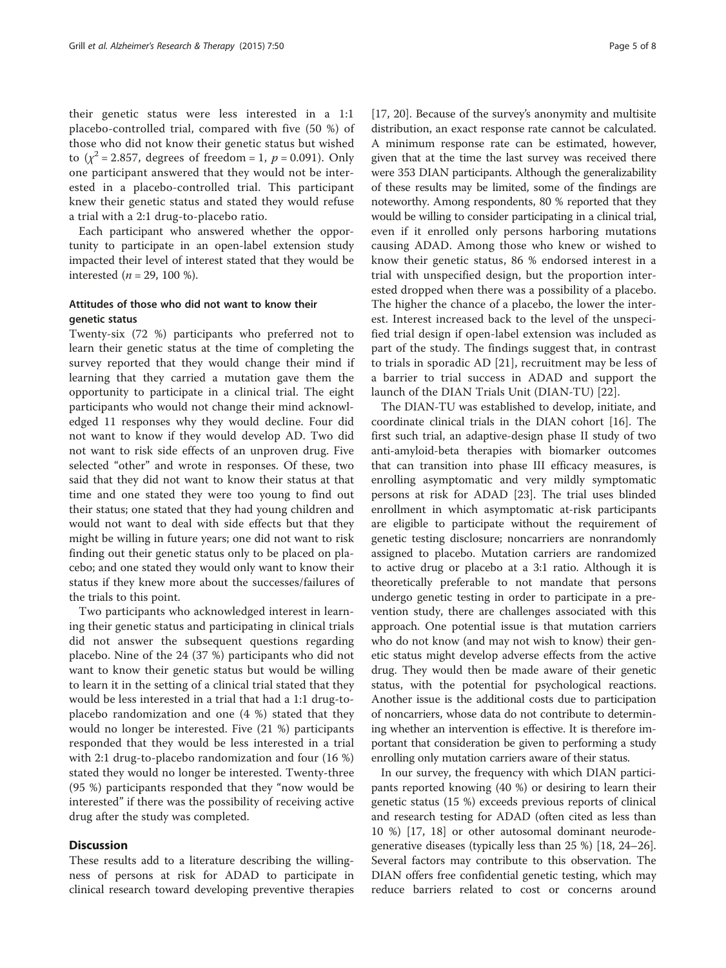their genetic status were less interested in a 1:1 placebo-controlled trial, compared with five (50 %) of those who did not know their genetic status but wished to ( $\chi^2$  = 2.857, degrees of freedom = 1,  $p$  = 0.091). Only one participant answered that they would not be interested in a placebo-controlled trial. This participant knew their genetic status and stated they would refuse a trial with a 2:1 drug-to-placebo ratio.

Each participant who answered whether the opportunity to participate in an open-label extension study impacted their level of interest stated that they would be interested ( $n = 29, 100$  %).

# Attitudes of those who did not want to know their genetic status

Twenty-six (72 %) participants who preferred not to learn their genetic status at the time of completing the survey reported that they would change their mind if learning that they carried a mutation gave them the opportunity to participate in a clinical trial. The eight participants who would not change their mind acknowledged 11 responses why they would decline. Four did not want to know if they would develop AD. Two did not want to risk side effects of an unproven drug. Five selected "other" and wrote in responses. Of these, two said that they did not want to know their status at that time and one stated they were too young to find out their status; one stated that they had young children and would not want to deal with side effects but that they might be willing in future years; one did not want to risk finding out their genetic status only to be placed on placebo; and one stated they would only want to know their status if they knew more about the successes/failures of the trials to this point.

Two participants who acknowledged interest in learning their genetic status and participating in clinical trials did not answer the subsequent questions regarding placebo. Nine of the 24 (37 %) participants who did not want to know their genetic status but would be willing to learn it in the setting of a clinical trial stated that they would be less interested in a trial that had a 1:1 drug-toplacebo randomization and one (4 %) stated that they would no longer be interested. Five (21 %) participants responded that they would be less interested in a trial with 2:1 drug-to-placebo randomization and four (16 %) stated they would no longer be interested. Twenty-three (95 %) participants responded that they "now would be interested" if there was the possibility of receiving active drug after the study was completed.

# **Discussion**

These results add to a literature describing the willingness of persons at risk for ADAD to participate in clinical research toward developing preventive therapies

[[17, 20\]](#page-7-0). Because of the survey's anonymity and multisite distribution, an exact response rate cannot be calculated. A minimum response rate can be estimated, however, given that at the time the last survey was received there were 353 DIAN participants. Although the generalizability of these results may be limited, some of the findings are noteworthy. Among respondents, 80 % reported that they would be willing to consider participating in a clinical trial, even if it enrolled only persons harboring mutations causing ADAD. Among those who knew or wished to know their genetic status, 86 % endorsed interest in a trial with unspecified design, but the proportion interested dropped when there was a possibility of a placebo. The higher the chance of a placebo, the lower the interest. Interest increased back to the level of the unspecified trial design if open-label extension was included as part of the study. The findings suggest that, in contrast to trials in sporadic AD [\[21](#page-7-0)], recruitment may be less of a barrier to trial success in ADAD and support the launch of the DIAN Trials Unit (DIAN-TU) [\[22](#page-7-0)].

The DIAN-TU was established to develop, initiate, and coordinate clinical trials in the DIAN cohort [[16\]](#page-7-0). The first such trial, an adaptive-design phase II study of two anti-amyloid-beta therapies with biomarker outcomes that can transition into phase III efficacy measures, is enrolling asymptomatic and very mildly symptomatic persons at risk for ADAD [[23](#page-7-0)]. The trial uses blinded enrollment in which asymptomatic at-risk participants are eligible to participate without the requirement of genetic testing disclosure; noncarriers are nonrandomly assigned to placebo. Mutation carriers are randomized to active drug or placebo at a 3:1 ratio. Although it is theoretically preferable to not mandate that persons undergo genetic testing in order to participate in a prevention study, there are challenges associated with this approach. One potential issue is that mutation carriers who do not know (and may not wish to know) their genetic status might develop adverse effects from the active drug. They would then be made aware of their genetic status, with the potential for psychological reactions. Another issue is the additional costs due to participation of noncarriers, whose data do not contribute to determining whether an intervention is effective. It is therefore important that consideration be given to performing a study enrolling only mutation carriers aware of their status.

In our survey, the frequency with which DIAN participants reported knowing (40 %) or desiring to learn their genetic status (15 %) exceeds previous reports of clinical and research testing for ADAD (often cited as less than 10 %) [[17, 18](#page-7-0)] or other autosomal dominant neurodegenerative diseases (typically less than 25 %) [[18, 24](#page-7-0)–[26](#page-7-0)]. Several factors may contribute to this observation. The DIAN offers free confidential genetic testing, which may reduce barriers related to cost or concerns around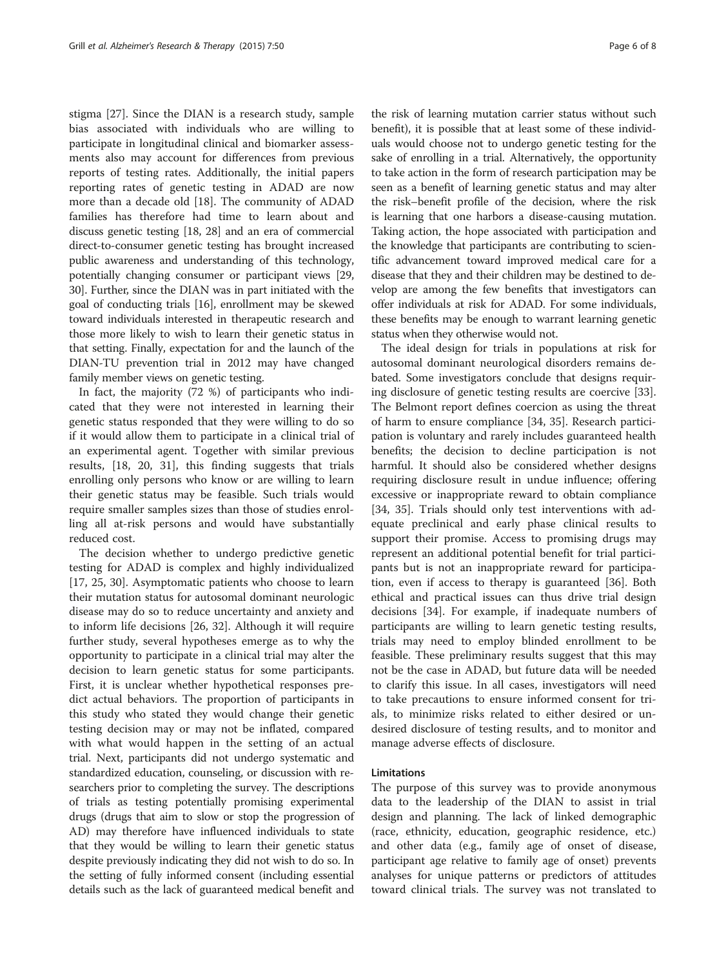stigma [\[27\]](#page-7-0). Since the DIAN is a research study, sample bias associated with individuals who are willing to participate in longitudinal clinical and biomarker assessments also may account for differences from previous reports of testing rates. Additionally, the initial papers reporting rates of genetic testing in ADAD are now more than a decade old [\[18](#page-7-0)]. The community of ADAD families has therefore had time to learn about and discuss genetic testing [\[18](#page-7-0), [28](#page-7-0)] and an era of commercial direct-to-consumer genetic testing has brought increased public awareness and understanding of this technology, potentially changing consumer or participant views [[29](#page-7-0), [30](#page-7-0)]. Further, since the DIAN was in part initiated with the goal of conducting trials [[16](#page-7-0)], enrollment may be skewed toward individuals interested in therapeutic research and those more likely to wish to learn their genetic status in that setting. Finally, expectation for and the launch of the DIAN-TU prevention trial in 2012 may have changed family member views on genetic testing.

In fact, the majority (72 %) of participants who indicated that they were not interested in learning their genetic status responded that they were willing to do so if it would allow them to participate in a clinical trial of an experimental agent. Together with similar previous results, [\[18, 20, 31](#page-7-0)], this finding suggests that trials enrolling only persons who know or are willing to learn their genetic status may be feasible. Such trials would require smaller samples sizes than those of studies enrolling all at-risk persons and would have substantially reduced cost.

The decision whether to undergo predictive genetic testing for ADAD is complex and highly individualized [[17, 25, 30\]](#page-7-0). Asymptomatic patients who choose to learn their mutation status for autosomal dominant neurologic disease may do so to reduce uncertainty and anxiety and to inform life decisions [[26, 32\]](#page-7-0). Although it will require further study, several hypotheses emerge as to why the opportunity to participate in a clinical trial may alter the decision to learn genetic status for some participants. First, it is unclear whether hypothetical responses predict actual behaviors. The proportion of participants in this study who stated they would change their genetic testing decision may or may not be inflated, compared with what would happen in the setting of an actual trial. Next, participants did not undergo systematic and standardized education, counseling, or discussion with researchers prior to completing the survey. The descriptions of trials as testing potentially promising experimental drugs (drugs that aim to slow or stop the progression of AD) may therefore have influenced individuals to state that they would be willing to learn their genetic status despite previously indicating they did not wish to do so. In the setting of fully informed consent (including essential details such as the lack of guaranteed medical benefit and the risk of learning mutation carrier status without such benefit), it is possible that at least some of these individuals would choose not to undergo genetic testing for the sake of enrolling in a trial. Alternatively, the opportunity to take action in the form of research participation may be seen as a benefit of learning genetic status and may alter the risk–benefit profile of the decision, where the risk is learning that one harbors a disease-causing mutation. Taking action, the hope associated with participation and the knowledge that participants are contributing to scientific advancement toward improved medical care for a disease that they and their children may be destined to develop are among the few benefits that investigators can offer individuals at risk for ADAD. For some individuals, these benefits may be enough to warrant learning genetic status when they otherwise would not.

The ideal design for trials in populations at risk for autosomal dominant neurological disorders remains debated. Some investigators conclude that designs requiring disclosure of genetic testing results are coercive [\[33](#page-7-0)]. The Belmont report defines coercion as using the threat of harm to ensure compliance [[34, 35\]](#page-7-0). Research participation is voluntary and rarely includes guaranteed health benefits; the decision to decline participation is not harmful. It should also be considered whether designs requiring disclosure result in undue influence; offering excessive or inappropriate reward to obtain compliance [[34, 35](#page-7-0)]. Trials should only test interventions with adequate preclinical and early phase clinical results to support their promise. Access to promising drugs may represent an additional potential benefit for trial participants but is not an inappropriate reward for participation, even if access to therapy is guaranteed [[36\]](#page-7-0). Both ethical and practical issues can thus drive trial design decisions [\[34\]](#page-7-0). For example, if inadequate numbers of participants are willing to learn genetic testing results, trials may need to employ blinded enrollment to be feasible. These preliminary results suggest that this may not be the case in ADAD, but future data will be needed to clarify this issue. In all cases, investigators will need to take precautions to ensure informed consent for trials, to minimize risks related to either desired or undesired disclosure of testing results, and to monitor and manage adverse effects of disclosure.

## Limitations

The purpose of this survey was to provide anonymous data to the leadership of the DIAN to assist in trial design and planning. The lack of linked demographic (race, ethnicity, education, geographic residence, etc.) and other data (e.g., family age of onset of disease, participant age relative to family age of onset) prevents analyses for unique patterns or predictors of attitudes toward clinical trials. The survey was not translated to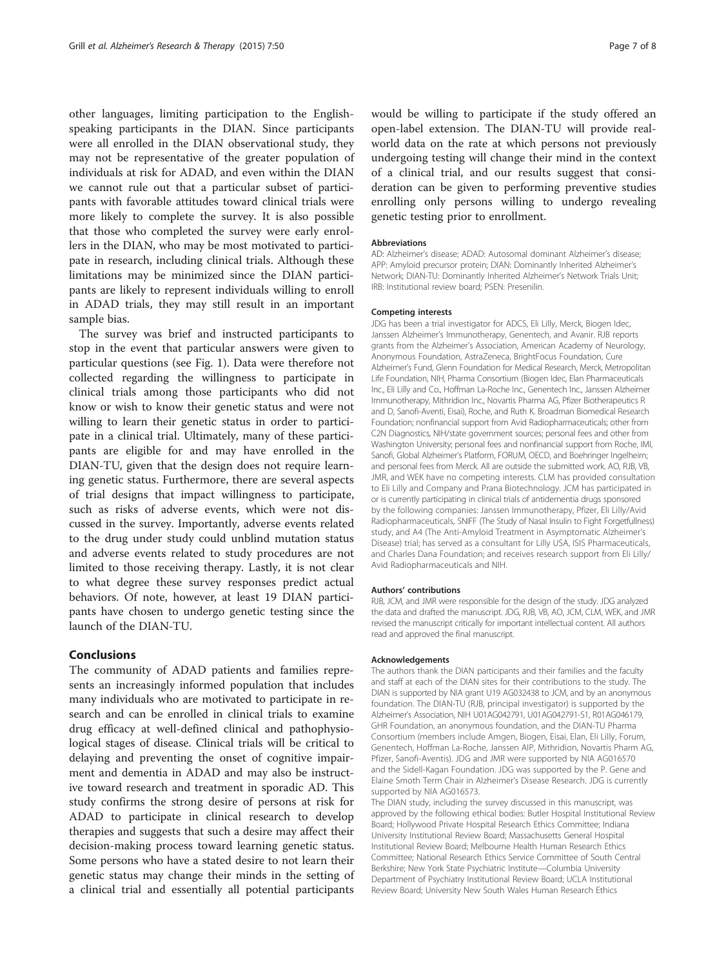other languages, limiting participation to the Englishspeaking participants in the DIAN. Since participants were all enrolled in the DIAN observational study, they may not be representative of the greater population of individuals at risk for ADAD, and even within the DIAN we cannot rule out that a particular subset of participants with favorable attitudes toward clinical trials were more likely to complete the survey. It is also possible that those who completed the survey were early enrollers in the DIAN, who may be most motivated to participate in research, including clinical trials. Although these limitations may be minimized since the DIAN participants are likely to represent individuals willing to enroll in ADAD trials, they may still result in an important sample bias.

The survey was brief and instructed participants to stop in the event that particular answers were given to particular questions (see Fig. [1](#page-2-0)). Data were therefore not collected regarding the willingness to participate in clinical trials among those participants who did not know or wish to know their genetic status and were not willing to learn their genetic status in order to participate in a clinical trial. Ultimately, many of these participants are eligible for and may have enrolled in the DIAN-TU, given that the design does not require learning genetic status. Furthermore, there are several aspects of trial designs that impact willingness to participate, such as risks of adverse events, which were not discussed in the survey. Importantly, adverse events related to the drug under study could unblind mutation status and adverse events related to study procedures are not limited to those receiving therapy. Lastly, it is not clear to what degree these survey responses predict actual behaviors. Of note, however, at least 19 DIAN participants have chosen to undergo genetic testing since the launch of the DIAN-TU.

# Conclusions

The community of ADAD patients and families represents an increasingly informed population that includes many individuals who are motivated to participate in research and can be enrolled in clinical trials to examine drug efficacy at well-defined clinical and pathophysiological stages of disease. Clinical trials will be critical to delaying and preventing the onset of cognitive impairment and dementia in ADAD and may also be instructive toward research and treatment in sporadic AD. This study confirms the strong desire of persons at risk for ADAD to participate in clinical research to develop therapies and suggests that such a desire may affect their decision-making process toward learning genetic status. Some persons who have a stated desire to not learn their genetic status may change their minds in the setting of a clinical trial and essentially all potential participants

would be willing to participate if the study offered an open-label extension. The DIAN-TU will provide realworld data on the rate at which persons not previously undergoing testing will change their mind in the context of a clinical trial, and our results suggest that consideration can be given to performing preventive studies enrolling only persons willing to undergo revealing genetic testing prior to enrollment.

## Abbreviations

AD: Alzheimer's disease; ADAD: Autosomal dominant Alzheimer's disease; APP: Amyloid precursor protein; DIAN: Dominantly Inherited Alzheimer's Network; DIAN-TU: Dominantly Inherited Alzheimer's Network Trials Unit; IRB: Institutional review board; PSEN: Presenilin.

## Competing interests

JDG has been a trial investigator for ADCS, Eli Lilly, Merck, Biogen Idec, Janssen Alzheimer's Immunotherapy, Genentech, and Avanir. RJB reports grants from the Alzheimer's Association, American Academy of Neurology, Anonymous Foundation, AstraZeneca, BrightFocus Foundation, Cure Alzheimer's Fund, Glenn Foundation for Medical Research, Merck, Metropolitan Life Foundation, NIH, Pharma Consortium (Biogen Idec, Elan Pharmaceuticals Inc., Eli Lilly and Co., Hoffman La-Roche Inc., Genentech Inc., Janssen Alzheimer Immunotherapy, Mithridion Inc., Novartis Pharma AG, Pfizer Biotherapeutics R and D, Sanofi-Aventi, Eisai), Roche, and Ruth K. Broadman Biomedical Research Foundation; nonfinancial support from Avid Radiopharmaceuticals; other from C2N Diagnostics, NIH/state government sources; personal fees and other from Washington University; personal fees and nonfinancial support from Roche, IMI, Sanofi, Global Alzheimer's Platform, FORUM, OECD, and Boehringer Ingelheim; and personal fees from Merck. All are outside the submitted work. AO, RJB, VB, JMR, and WEK have no competing interests. CLM has provided consultation to Eli Lilly and Company and Prana Biotechnology. JCM has participated in or is currently participating in clinical trials of antidementia drugs sponsored by the following companies: Janssen Immunotherapy, Pfizer, Eli Lilly/Avid Radiopharmaceuticals, SNIFF (The Study of Nasal Insulin to Fight Forgetfullness) study, and A4 (The Anti-Amyloid Treatment in Asymptomatic Alzheimer's Disease) trial; has served as a consultant for Lilly USA, ISIS Pharmaceuticals, and Charles Dana Foundation; and receives research support from Eli Lilly/ Avid Radiopharmaceuticals and NIH.

## Authors' contributions

RJB, JCM, and JMR were responsible for the design of the study. JDG analyzed the data and drafted the manuscript. JDG, RJB, VB, AO, JCM, CLM, WEK, and JMR revised the manuscript critically for important intellectual content. All authors read and approved the final manuscript.

#### Acknowledgements

The authors thank the DIAN participants and their families and the faculty and staff at each of the DIAN sites for their contributions to the study. The DIAN is supported by NIA grant U19 AG032438 to JCM, and by an anonymous foundation. The DIAN-TU (RJB, principal investigator) is supported by the Alzheimer's Association, NIH U01AG042791, U01AG042791-S1, R01AG046179, GHR Foundation, an anonymous foundation, and the DIAN-TU Pharma Consortium (members include Amgen, Biogen, Eisai, Elan, Eli Lilly, Forum, Genentech, Hoffman La-Roche, Janssen AIP, Mithridion, Novartis Pharm AG, Pfizer, Sanofi-Aventis). JDG and JMR were supported by NIA AG016570 and the Sidell-Kagan Foundation. JDG was supported by the P. Gene and Elaine Smoth Term Chair in Alzheimer's Disease Research. JDG is currently supported by NIA AG016573.

The DIAN study, including the survey discussed in this manuscript, was approved by the following ethical bodies: Butler Hospital Institutional Review Board; Hollywood Private Hospital Research Ethics Committee; Indiana University Institutional Review Board; Massachusetts General Hospital Institutional Review Board; Melbourne Health Human Research Ethics Committee; National Research Ethics Service Committee of South Central Berkshire; New York State Psychiatric Institute—Columbia University Department of Psychiatry Institutional Review Board; UCLA Institutional Review Board; University New South Wales Human Research Ethics